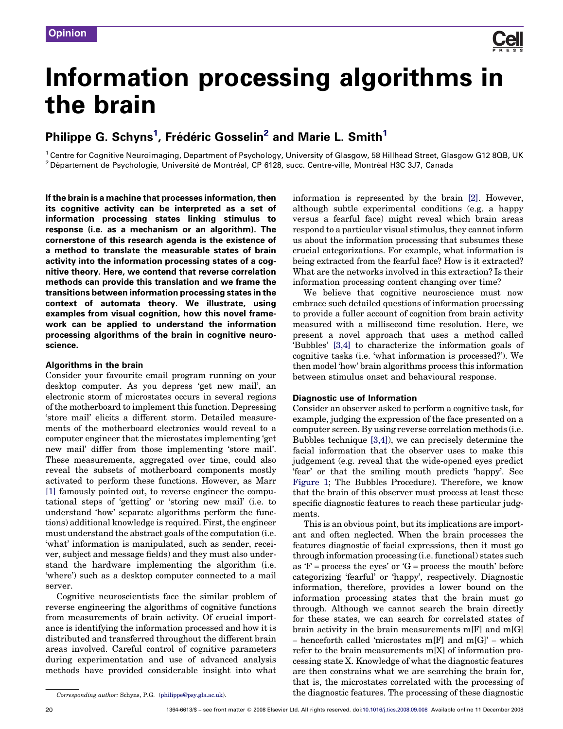

## Information processing algorithms in the brain

## Philippe G. Schyns<sup>1</sup>, Frédéric Gosselin<sup>2</sup> and Marie L. Smith<sup>1</sup>

<sup>1</sup> Centre for Cognitive Neuroimaging, Department of Psychology, University of Glasgow, 58 Hillhead Street, Glasgow G12 8QB, UK <sup>2</sup> Département de Psychologie, Université de Montréal, CP 6128, succ. Centre-ville, Montréal H3C 3J7, Canada

If the brain is a machine that processes information, then its cognitive activity can be interpreted as a set of information processing states linking stimulus to response (i.e. as a mechanism or an algorithm). The cornerstone of this research agenda is the existence of a method to translate the measurable states of brain activity into the information processing states of a cognitive theory. Here, we contend that reverse correlation methods can provide this translation and we frame the transitions between information processing states in the context of automata theory. We illustrate, using examples from visual cognition, how this novel framework can be applied to understand the information processing algorithms of the brain in cognitive neuroscience.

#### Algorithms in the brain

Consider your favourite email program running on your desktop computer. As you depress 'get new mail', an electronic storm of microstates occurs in several regions of the motherboard to implement this function. Depressing 'store mail' elicits a different storm. Detailed measurements of the motherboard electronics would reveal to a computer engineer that the microstates implementing 'get new mail' differ from those implementing 'store mail'. These measurements, aggregated over time, could also reveal the subsets of motherboard components mostly activated to perform these functions. However, as Marr [\[1\]](#page-6-0) famously pointed out, to reverse engineer the computational steps of 'getting' or 'storing new mail' (i.e. to understand 'how' separate algorithms perform the functions) additional knowledge is required. First, the engineer must understand the abstract goals of the computation (i.e. 'what' information is manipulated, such as sender, receiver, subject and message fields) and they must also understand the hardware implementing the algorithm (i.e. 'where') such as a desktop computer connected to a mail server.

Cognitive neuroscientists face the similar problem of reverse engineering the algorithms of cognitive functions from measurements of brain activity. Of crucial importance is identifying the information processed and how it is distributed and transferred throughout the different brain areas involved. Careful control of cognitive parameters during experimentation and use of advanced analysis methods have provided considerable insight into what information is represented by the brain [\[2\].](#page-6-0) However, although subtle experimental conditions (e.g. a happy versus a fearful face) might reveal which brain areas respond to a particular visual stimulus, they cannot inform us about the information processing that subsumes these crucial categorizations. For example, what information is being extracted from the fearful face? How is it extracted? What are the networks involved in this extraction? Is their information processing content changing over time?

We believe that cognitive neuroscience must now embrace such detailed questions of information processing to provide a fuller account of cognition from brain activity measured with a millisecond time resolution. Here, we present a novel approach that uses a method called 'Bubbles' [\[3,4\]](#page-6-0) to characterize the information goals of cognitive tasks (i.e. 'what information is processed?'). We then model 'how' brain algorithms process this information between stimulus onset and behavioural response.

### Diagnostic use of Information

Consider an observer asked to perform a cognitive task, for example, judging the expression of the face presented on a computer screen. By using reverse correlation methods (i.e. Bubbles technique [\[3,4\]](#page-6-0)), we can precisely determine the facial information that the observer uses to make this judgement (e.g. reveal that the wide-opened eyes predict 'fear' or that the smiling mouth predicts 'happy'. See [Figure 1](#page-1-0); The Bubbles Procedure). Therefore, we know that the brain of this observer must process at least these specific diagnostic features to reach these particular judgments.

This is an obvious point, but its implications are important and often neglected. When the brain processes the features diagnostic of facial expressions, then it must go through information processing (i.e. functional) states such as  $F =$  process the eyes' or  $G =$  process the mouth' before categorizing 'fearful' or 'happy', respectively. Diagnostic information, therefore, provides a lower bound on the information processing states that the brain must go through. Although we cannot search the brain directly for these states, we can search for correlated states of brain activity in the brain measurements m[F] and m[G] – henceforth called 'microstates m[F] and m[G]' – which refer to the brain measurements m[X] of information processing state X. Knowledge of what the diagnostic features are then constrains what we are searching the brain for, that is, the microstates correlated with the processing of the diagnostic features. The processing of these diagnostic

Corresponding author: Schyns, P.G. ([philippe@psy.gla.ac.uk](mailto:philippe@psy.gla.ac.uk)).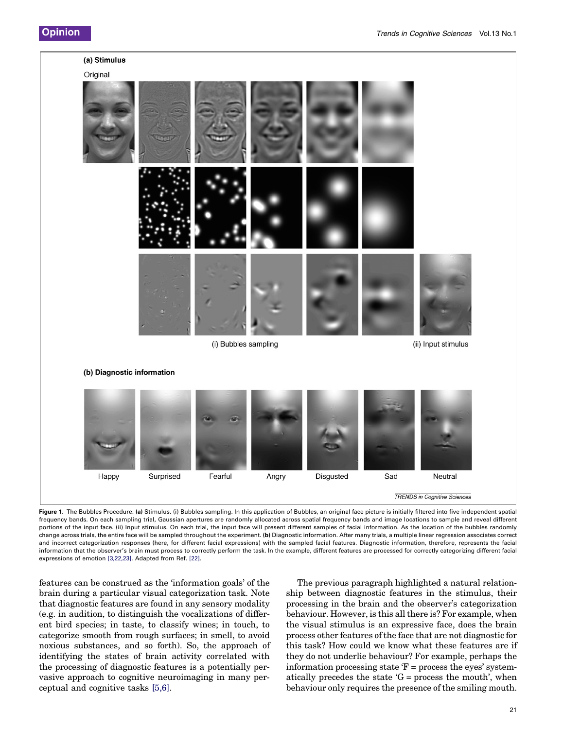# <span id="page-1-0"></span>(a) Stimulus Original (i) Bubbles sampling (ii) Input stimulus (b) Diagnostic information Fearful Sad Happy Surprised Angry **Disgusted** Neutral **TRENDS** in Cognitive Sciences

Figure 1. The Bubbles Procedure. (a) Stimulus. (i) Bubbles sampling. In this application of Bubbles, an original face picture is initially filtered into five independent spatial frequency bands. On each sampling trial, Gaussian apertures are randomly allocated across spatial frequency bands and image locations to sample and reveal different portions of the input face. (ii) Input stimulus. On each trial, the input face will present different samples of facial information. As the location of the bubbles randomly change across trials, the entire face will be sampled throughout the experiment. (b) Diagnostic information. After many trials, a multiple linear regression associates correct and incorrect categorization responses (here, for different facial expressions) with the sampled facial features. Diagnostic information, therefore, represents the facial information that the observer's brain must process to correctly perform the task. In the example, different features are processed for correctly categorizing different facial expressions of emotion [\[3,22,23\]](#page-6-0). Adapted from Ref. [\[22\]](#page-6-0).

features can be construed as the 'information goals' of the brain during a particular visual categorization task. Note that diagnostic features are found in any sensory modality (e.g. in audition, to distinguish the vocalizations of different bird species; in taste, to classify wines; in touch, to categorize smooth from rough surfaces; in smell, to avoid noxious substances, and so forth). So, the approach of identifying the states of brain activity correlated with the processing of diagnostic features is a potentially pervasive approach to cognitive neuroimaging in many perceptual and cognitive tasks [\[5,6\]](#page-6-0).

The previous paragraph highlighted a natural relationship between diagnostic features in the stimulus, their processing in the brain and the observer's categorization behaviour. However, is this all there is? For example, when the visual stimulus is an expressive face, does the brain process other features of the face that are not diagnostic for this task? How could we know what these features are if they do not underlie behaviour? For example, perhaps the information processing state  $F =$  process the eyes' systematically precedes the state  $G =$  process the mouth', when behaviour only requires the presence of the smiling mouth.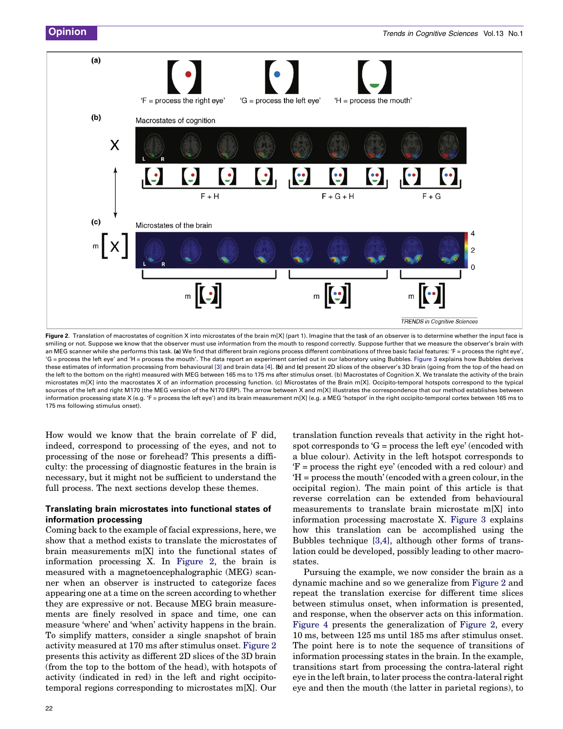<span id="page-2-0"></span>

Figure 2. Translation of macrostates of cognition X into microstates of the brain m[X] (part 1). Imagine that the task of an observer is to determine whether the input face is smiling or not. Suppose we know that the observer must use information from the mouth to respond correctly. Suppose further that we measure the observer's brain with an MEG scanner while she performs this task. (a) We find that different brain regions process different combinations of three basic facial features: 'F = process the right eye', 'G = process the left eye' and 'H = process the mouth'. The data report an experiment carried out in our laboratory using Bubbles. [Figure 3](#page-3-0) explains how Bubbles derives these estimates of information processing from behavioural [\[3\]](#page-6-0) and brain data [\[4\]](#page-6-0). (b) and (c) present 2D slices of the observer's 3D brain (going from the top of the head on the left to the bottom on the right) measured with MEG between 165 ms to 175 ms after stimulus onset. (b) Macrostates of Cognition X. We translate the activity of the brain microstates m[X] into the macrostates X of an information processing function. (c) Microstates of the Brain m[X]. Occipito-temporal hotspots correspond to the typical sources of the left and right M170 (the MEG version of the N170 ERP). The arrow between X and m[X] illustrates the correspondence that our method establishes between information processing state X (e.g. 'F = process the left eye') and its brain measurement m[X] (e.g. a MEG 'hotspot' in the right occipito-temporal cortex between 165 ms to 175 ms following stimulus onset).

How would we know that the brain correlate of F did, indeed, correspond to processing of the eyes, and not to processing of the nose or forehead? This presents a difficulty: the processing of diagnostic features in the brain is necessary, but it might not be sufficient to understand the full process. The next sections develop these themes.

### Translating brain microstates into functional states of information processing

Coming back to the example of facial expressions, here, we show that a method exists to translate the microstates of brain measurements m[X] into the functional states of information processing X. In Figure 2, the brain is measured with a magnetoencephalographic (MEG) scanner when an observer is instructed to categorize faces appearing one at a time on the screen according to whether they are expressive or not. Because MEG brain measurements are finely resolved in space and time, one can measure 'where' and 'when' activity happens in the brain. To simplify matters, consider a single snapshot of brain activity measured at 170 ms after stimulus onset. Figure 2 presents this activity as different 2D slices of the 3D brain (from the top to the bottom of the head), with hotspots of activity (indicated in red) in the left and right occipitotemporal regions corresponding to microstates m[X]. Our translation function reveals that activity in the right hotspot corresponds to 'G = process the left eye' (encoded with a blue colour). Activity in the left hotspot corresponds to 'F = process the right eye' (encoded with a red colour) and 'H = process the mouth' (encoded with a green colour, in the occipital region). The main point of this article is that reverse correlation can be extended from behavioural measurements to translate brain microstate m[X] into information processing macrostate X. [Figure 3](#page-3-0) explains how this translation can be accomplished using the Bubbles technique [\[3,4\]](#page-6-0), although other forms of translation could be developed, possibly leading to other macrostates.

Pursuing the example, we now consider the brain as a dynamic machine and so we generalize from Figure 2 and repeat the translation exercise for different time slices between stimulus onset, when information is presented, and response, when the observer acts on this information. [Figure 4](#page-4-0) presents the generalization of Figure 2, every 10 ms, between 125 ms until 185 ms after stimulus onset. The point here is to note the sequence of transitions of information processing states in the brain. In the example, transitions start from processing the contra-lateral right eye in the left brain, to later process the contra-lateral right eye and then the mouth (the latter in parietal regions), to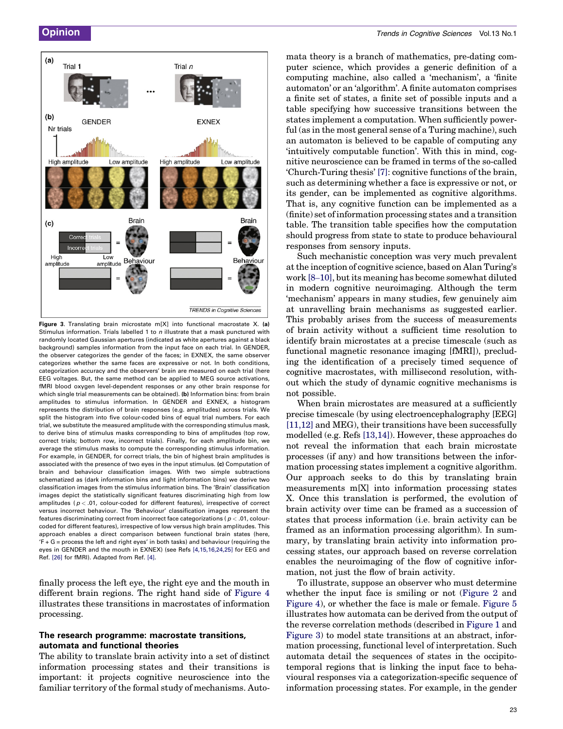<span id="page-3-0"></span>

Figure 3. Translating brain microstate m[X] into functional macrostate X. (a) Stimulus information. Trials labelled 1 to  $n$  illustrate that a mask punctured with randomly located Gaussian apertures (indicated as white apertures against a black background) samples information from the input face on each trial. In GENDER, the observer categorizes the gender of the faces; in EXNEX, the same observer categorizes whether the same faces are expressive or not. In both conditions, categorization accuracy and the observers' brain are measured on each trial (here EEG voltages. But, the same method can be applied to MEG source activations, fMRI blood oxygen level-dependent responses or any other brain response for which single trial measurements can be obtained). (b) Information bins: from brain amplitudes to stimulus information. In GENDER and EXNEX, a histogram represents the distribution of brain responses (e.g. amplitudes) across trials. We split the histogram into five colour-coded bins of equal trial numbers. For each trial, we substitute the measured amplitude with the corresponding stimulus mask, to derive bins of stimulus masks corresponding to bins of amplitudes (top row, correct trials; bottom row, incorrect trials). Finally, for each amplitude bin, we average the stimulus masks to compute the corresponding stimulus information. For example, in GENDER, for correct trials, the bin of highest brain amplitudes is associated with the presence of two eyes in the input stimulus. (c) Computation of brain and behaviour classification images. With two simple subtractions schematized as (dark information bins and light information bins) we derive two classification images from the stimulus information bins. The 'Brain' classification images depict the statistically significant features discriminating high from low amplitudes ( $p < .01$ , colour-coded for different features), irrespective of correct versus incorrect behaviour. The 'Behaviour' classification images represent the features discriminating correct from incorrect face categorizations ( $p < .01$ , colourcoded for different features), irrespective of low versus high brain amplitudes. This approach enables a direct comparison between functional brain states (here, 'F + G = process the left and right eyes' in both tasks) and behaviour (requiring the eyes in GENDER and the mouth in EXNEX) (see Refs [\[4,15,16,24,25\]](#page-6-0) for EEG and Ref. [\[26\]](#page-6-0) for fMRI). Adapted from Ref. [\[4\]](#page-6-0).

finally process the left eye, the right eye and the mouth in different brain regions. The right hand side of [Figure 4](#page-4-0) illustrates these transitions in macrostates of information processing.

#### The research programme: macrostate transitions, automata and functional theories

The ability to translate brain activity into a set of distinct information processing states and their transitions is important: it projects cognitive neuroscience into the familiar territory of the formal study of mechanisms. Auto-

mata theory is a branch of mathematics, pre-dating computer science, which provides a generic definition of a computing machine, also called a 'mechanism', a 'finite automaton' or an 'algorithm'. A finite automaton comprises a finite set of states, a finite set of possible inputs and a table specifying how successive transitions between the states implement a computation. When sufficiently powerful (as in the most general sense of a Turing machine), such an automaton is believed to be capable of computing any 'intuitively computable function'. With this in mind, cognitive neuroscience can be framed in terms of the so-called 'Church-Turing thesis' [\[7\]](#page-6-0): cognitive functions of the brain, such as determining whether a face is expressive or not, or its gender, can be implemented as cognitive algorithms. That is, any cognitive function can be implemented as a (finite) set of information processing states and a transition table. The transition table specifies how the computation should progress from state to state to produce behavioural responses from sensory inputs.

Such mechanistic conception was very much prevalent at the inception of cognitive science, based on Alan Turing's work [8–[10\],](#page-6-0) but its meaning has become somewhat diluted in modern cognitive neuroimaging. Although the term 'mechanism' appears in many studies, few genuinely aim at unravelling brain mechanisms as suggested earlier. This probably arises from the success of measurements of brain activity without a sufficient time resolution to identify brain microstates at a precise timescale (such as functional magnetic resonance imaging [fMRI]), precluding the identification of a precisely timed sequence of cognitive macrostates, with millisecond resolution, without which the study of dynamic cognitive mechanisms is not possible.

When brain microstates are measured at a sufficiently precise timescale (by using electroencephalography [EEG] [\[11,12\]](#page-6-0) and MEG), their transitions have been successfully modelled (e.g. Refs [\[13,14\]](#page-6-0)). However, these approaches do not reveal the information that each brain microstate processes (if any) and how transitions between the information processing states implement a cognitive algorithm. Our approach seeks to do this by translating brain measurements m[X] into information processing states X. Once this translation is performed, the evolution of brain activity over time can be framed as a succession of states that process information (i.e. brain activity can be framed as an information processing algorithm). In summary, by translating brain activity into information processing states, our approach based on reverse correlation enables the neuroimaging of the flow of cognitive information, not just the flow of brain activity.

To illustrate, suppose an observer who must determine whether the input face is smiling or not [\(Figure 2](#page-2-0) and [Figure 4\)](#page-4-0), or whether the face is male or female. [Figure 5](#page-5-0) illustrates how automata can be derived from the output of the reverse correlation methods (described in [Figure 1](#page-1-0) and Figure 3) to model state transitions at an abstract, information processing, functional level of interpretation. Such automata detail the sequences of states in the occipitotemporal regions that is linking the input face to behavioural responses via a categorization-specific sequence of information processing states. For example, in the gender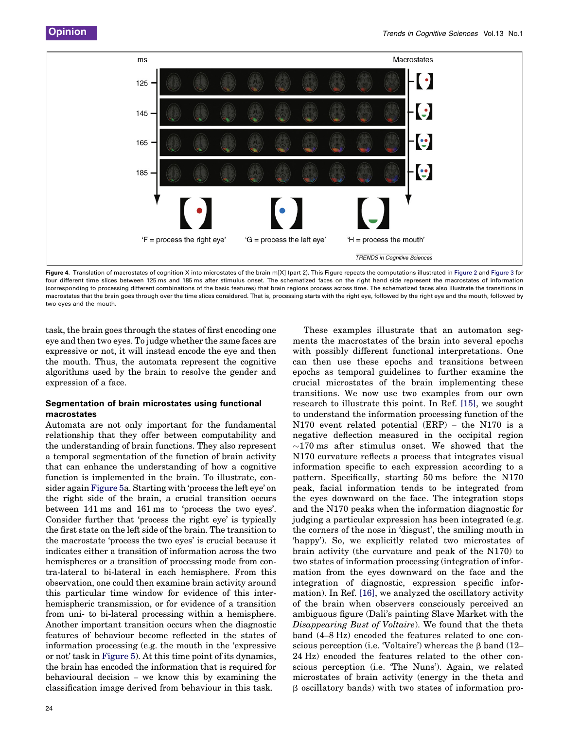<span id="page-4-0"></span>

Figure 4. Translation of macrostates of cognition X into microstates of the brain m[X] (part 2). This Figure repeats the computations illustrated in [Figure 2](#page-2-0) and [Figure 3](#page-3-0) for four different time slices between 125 ms and 185 ms after stimulus onset. The schematized faces on the right hand side represent the macrostates of information (corresponding to processing different combinations of the basic features) that brain regions process across time. The schematized faces also illustrate the transitions in macrostates that the brain goes through over the time slices considered. That is, processing starts with the right eye, followed by the right eye and the mouth, followed by two eyes and the mouth.

task, the brain goes through the states of first encoding one eye and then two eyes. To judge whether the same faces are expressive or not, it will instead encode the eye and then the mouth. Thus, the automata represent the cognitive algorithms used by the brain to resolve the gender and expression of a face.

#### Segmentation of brain microstates using functional macrostates

Automata are not only important for the fundamental relationship that they offer between computability and the understanding of brain functions. They also represent a temporal segmentation of the function of brain activity that can enhance the understanding of how a cognitive function is implemented in the brain. To illustrate, consider again [Figure 5a](#page-5-0). Starting with 'process the left eye' on the right side of the brain, a crucial transition occurs between 141 ms and 161 ms to 'process the two eyes'. Consider further that 'process the right eye' is typically the first state on the left side of the brain. The transition to the macrostate 'process the two eyes' is crucial because it indicates either a transition of information across the two hemispheres or a transition of processing mode from contra-lateral to bi-lateral in each hemisphere. From this observation, one could then examine brain activity around this particular time window for evidence of this interhemispheric transmission, or for evidence of a transition from uni- to bi-lateral processing within a hemisphere. Another important transition occurs when the diagnostic features of behaviour become reflected in the states of information processing (e.g. the mouth in the 'expressive or not' task in [Figure 5](#page-5-0)). At this time point of its dynamics, the brain has encoded the information that is required for behavioural decision – we know this by examining the classification image derived from behaviour in this task.

with possibly different functional interpretations. One can then use these epochs and transitions between epochs as temporal guidelines to further examine the crucial microstates of the brain implementing these transitions. We now use two examples from our own research to illustrate this point. In Ref. [\[15\]](#page-6-0), we sought to understand the information processing function of the N170 event related potential (ERP) – the N170 is a negative deflection measured in the occipital region  $\sim$ 170 ms after stimulus onset. We showed that the N170 curvature reflects a process that integrates visual information specific to each expression according to a pattern. Specifically, starting 50 ms before the N170 peak, facial information tends to be integrated from the eyes downward on the face. The integration stops and the N170 peaks when the information diagnostic for judging a particular expression has been integrated (e.g. the corners of the nose in 'disgust', the smiling mouth in 'happy'). So, we explicitly related two microstates of brain activity (the curvature and peak of the N170) to two states of information processing (integration of information from the eyes downward on the face and the integration of diagnostic, expression specific information). In Ref. [\[16\]](#page-6-0), we analyzed the oscillatory activity of the brain when observers consciously perceived an ambiguous figure (Dali's painting Slave Market with the Disappearing Bust of Voltaire). We found that the theta band (4–8 Hz) encoded the features related to one conscious perception (i.e. 'Voltaire') whereas the  $\beta$  band (12– 24 Hz) encoded the features related to the other conscious perception (i.e. 'The Nuns'). Again, we related microstates of brain activity (energy in the theta and  $\beta$  oscillatory bands) with two states of information pro-

These examples illustrate that an automaton segments the macrostates of the brain into several epochs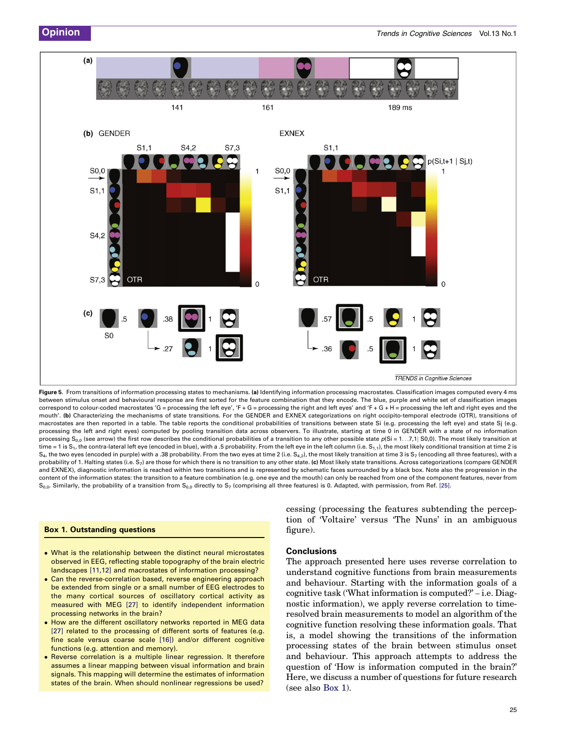<span id="page-5-0"></span>

Figure 5. From transitions of information processing states to mechanisms. (a) Identifying information processing macrostates. Classification images computed every 4 ms between stimulus onset and behavioural response are first sorted for the feature combination that they encode. The blue, purple and white set of classification images correspond to colour-coded macrostates 'G = processing the left eye', 'F + G = processing the right and left eyes' and 'F + G + H = processing the left and right eyes and the mouth'. (b) Characterizing the mechanisms of state transitions. For the GENDER and EXNEX categorizations on right occipito-temporal electrode (OTR), transitions of macrostates are then reported in a table. The table reports the conditional probabilities of transitions between state Si (e.g. processing the left eye) and state Sj (e.g. processing the left and right eyes) computed by pooling transition data across observers. To illustrate, starting at time 0 in GENDER with a state of no information processing S<sub>0,0</sub> (see arrow) the first row describes the conditional probabilities of a transition to any other possible state  $p(Si = 1...7, 1|S0, 0)$ . The most likely transition at time = 1 is  $S_1$ , the contra-lateral left eye (encoded in blue), with a .5 probability. From the left eye in the left column (i.e.  $S_{1,1}$ ), the most likely conditional transition at time 2 is  $S_4$ , the two eyes (encoded in purple) with a .38 probability. From the two eyes at time 2 (i.e.  $S_{4,2}$ ), the most likely transition at time 3 is  $S_7$  (encoding all three features), with a probability of 1. Halting states (i.e. S<sub>7</sub>) are those for which there is no transition to any other state. (c) Most likely state transitions. Across categorizations (compare GENDER and EXNEX), diagnostic information is reached within two transitions and is represented by schematic faces surrounded by a black box. Note also the progression in the content of the information states: the transition to a feature combination (e.g. one eye and the mouth) can only be reached from one of the component features, never from  $S_{0,0}$ . Similarly, the probability of a transition from  $S_{0,0}$  directly to  $S_7$  (comprising all three features) is 0. Adapted, with permission, from Ref. [\[25\]](#page-6-0).

#### Box 1. Outstanding questions

- What is the relationship between the distinct neural microstates observed in EEG, reflecting stable topography of the brain electric landscapes [\[11,12\]](#page-6-0) and macrostates of information processing?
- Can the reverse-correlation based, reverse engineering approach be extended from single or a small number of EEG electrodes to the many cortical sources of oscillatory cortical activity as measured with MEG [\[27\]](#page-6-0) to identify independent information processing networks in the brain?
- How are the different oscillatory networks reported in MEG data [\[27\]](#page-6-0) related to the processing of different sorts of features (e.g. fine scale versus coarse scale [\[16\]\)](#page-6-0) and/or different cognitive functions (e.g. attention and memory).
- Reverse correlation is a multiple linear regression. It therefore assumes a linear mapping between visual information and brain signals. This mapping will determine the estimates of information states of the brain. When should nonlinear regressions be used?

cessing (processing the features subtending the perception of 'Voltaire' versus 'The Nuns' in an ambiguous figure).

#### Conclusions

The approach presented here uses reverse correlation to understand cognitive functions from brain measurements and behaviour. Starting with the information goals of a cognitive task ('What information is computed?' – i.e. Diagnostic information), we apply reverse correlation to timeresolved brain measurements to model an algorithm of the cognitive function resolving these information goals. That is, a model showing the transitions of the information processing states of the brain between stimulus onset and behaviour. This approach attempts to address the question of 'How is information computed in the brain?' Here, we discuss a number of questions for future research (see also Box 1).